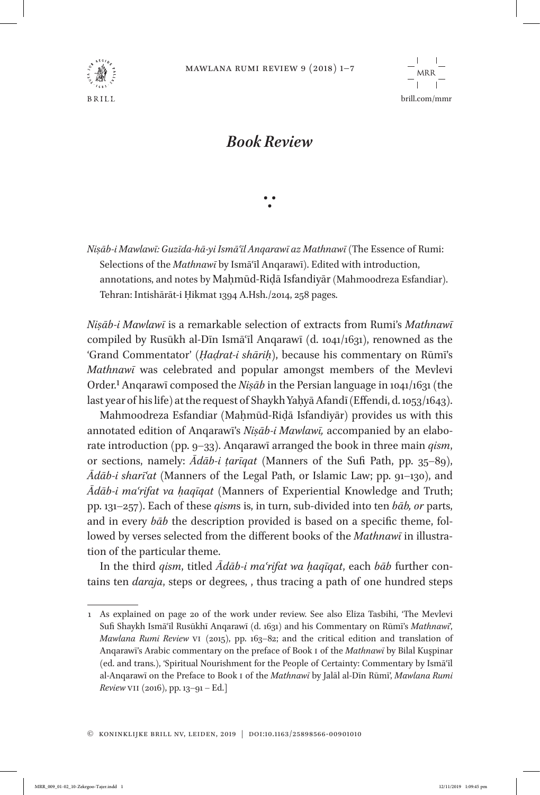



## *Book Review*

∵

*Niṣāb-i Mawlawī: Guzīda-hā-yi Ismāʿīl Anqarawī az Mathnawī* (The Essence of Rumi: Selections of the *Mathnawī* by Ismā<sup>'</sup>īl Angarawī). Edited with introduction, annotations, and notes by Mahmūd-Ridā Isfandiyār (Mahmoodreza Esfandiar). Tehran: Intishārāt-i Ḥikmat 1394 A.Hsh./2014, 258 pages.

*Niṣāb-i Mawlawī* is a remarkable selection of extracts from Rumi's *Mathnawī* compiled by Rusūkh al-Dīn Ismāʿīl Anqarawī (d. 1041/1631), renowned as the 'Grand Commentator' (*Ḥaḍrat-i shāriḥ*), because his commentary on Rūmī's *Mathnawī* was celebrated and popular amongst members of the Mevlevi Order.1 Anqarawī composed the *Niṣāb* in the Persian language in 1041/1631 (the last year of his life) at the request of Shaykh Yaḥyā Afandī (Effendi, d. 1053/1643).

Mahmoodreza Esfandiar (Maḥmūd-Riḍā Isfandiyār) provides us with this annotated edition of Anqarawī's *Niṣāb-i Mawlawī,* accompanied by an elaborate introduction (pp. 9–33). Anqarawī arranged the book in three main *qism*, or sections, namely: *Ādāb-i ṭarīqat* (Manners of the Sufi Path, pp. 35–89), *Ādāb-i sharīʿat* (Manners of the Legal Path, or Islamic Law; pp. 91–130), and *Ādāb-i maʿrifat va ḥaqīqat* (Manners of Experiential Knowledge and Truth; pp. 131–257). Each of these *qism*s is, in turn, sub-divided into ten *bāb, or* parts, and in every *bāb* the description provided is based on a specific theme, followed by verses selected from the different books of the *Mathnawī* in illustration of the particular theme.

In the third *qism*, titled *Ādāb-i maʿrifat wa ḥaqīqat*, each *bāb* further contains ten *daraja*, steps or degrees, , thus tracing a path of one hundred steps

© Koninklijke Brill NV, Leiden, 2019 | doi:10.1163/25898566-00901010

<sup>1</sup> As explained on page 20 of the work under review. See also Eliza Tasbihi, 'The Mevlevi Sufi Shaykh Ismāʿīl Rusūkhī Anqarawī (d. 1631) and his Commentary on Rūmī's *Mathnawī*', *Mawlana Rumi Review* VI (2015), pp. 163–82; and the critical edition and translation of Anqarawī's Arabic commentary on the preface of Book I of the *Mathnawī* by Bilal Kuşpinar (ed. and trans.), 'Spiritual Nourishment for the People of Certainty: Commentary by Ismāʿīl al-Anqarawī on the Preface to Book I of the *Mathnawī* by Jalāl al-Dīn Rūmī', *Mawlana Rumi Review* VII (2016), pp. 13–91 – Ed.]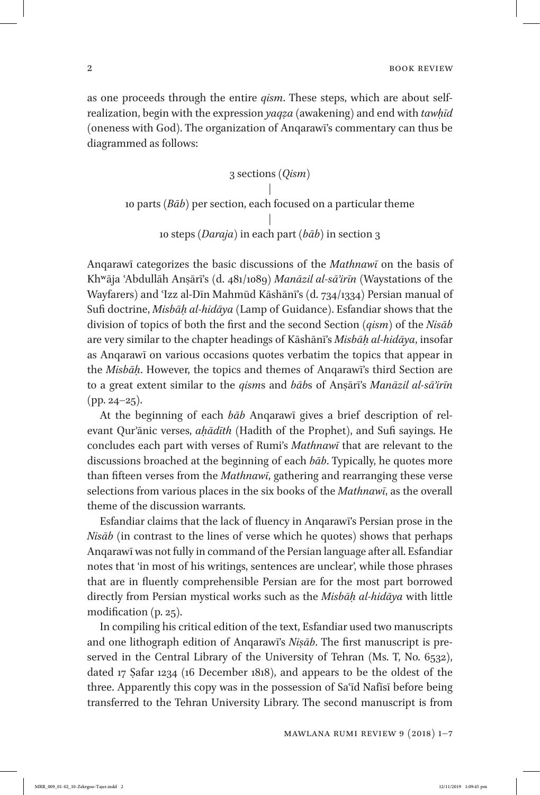as one proceeds through the entire *qism*. These steps, which are about selfrealization, begin with the expression *yaqẓa* (awakening) and end with *tawḥīd* (oneness with God). The organization of Anqarawī's commentary can thus be diagrammed as follows:

> 3 sections (*Qism*) | 10 parts (*Bāb*) per section, each focused on a particular theme | 10 steps (*Daraja*) in each part (*bāb*) in section 3

Anqarawī categorizes the basic discussions of the *Mathnawī* on the basis of Khwāja ʿAbdullāh Anṣārī's (d. 481/1089) *Manāzil al-sāʾirīn* (Waystations of the Wayfarers) and ʿIzz al-Dīn Mahmūd Kāshānī's (d. 734/1334) Persian manual of Sufi doctrine, *Misbāḥ al-hidāya* (Lamp of Guidance). Esfandiar shows that the division of topics of both the first and the second Section (*qism)* of the *Nisāb* are very similar to the chapter headings of Kāshānī's *Misbāḥ al-hidāya*, insofar as Anqarawī on various occasions quotes verbatim the topics that appear in the *Misbāḥ*. However, the topics and themes of Anqarawī's third Section are to a great extent similar to the *qism*s and *bāb*s of Anṣārī's *Manāzil al-sāʾirīn*  $(pp. 24-25)$ .

At the beginning of each *bāb* Anqarawī gives a brief description of relevant Qurʾānic verses, *aḥādīth* (Hadith of the Prophet), and Sufi sayings. He concludes each part with verses of Rumi's *Mathnawī* that are relevant to the discussions broached at the beginning of each *bāb*. Typically, he quotes more than fifteen verses from the *Mathnawī*, gathering and rearranging these verse selections from various places in the six books of the *Mathnawī*, as the overall theme of the discussion warrants.

Esfandiar claims that the lack of fluency in Anqarawī's Persian prose in the *Nisāb* (in contrast to the lines of verse which he quotes) shows that perhaps Anqarawī was not fully in command of the Persian language after all. Esfandiar notes that 'in most of his writings, sentences are unclear', while those phrases that are in fluently comprehensible Persian are for the most part borrowed directly from Persian mystical works such as the *Misbāḥ al-hidāya* with little modification (p. 25).

In compiling his critical edition of the text, Esfandiar used two manuscripts and one lithograph edition of Anqarawī's *Niṣāb*. The first manuscript is preserved in the Central Library of the University of Tehran (Ms. T, No. 6532), dated 17 Ṣafar 1234 (16 December 1818), and appears to be the oldest of the three. Apparently this copy was in the possession of Saʿīd Nafīsī before being transferred to the Tehran University Library. The second manuscript is from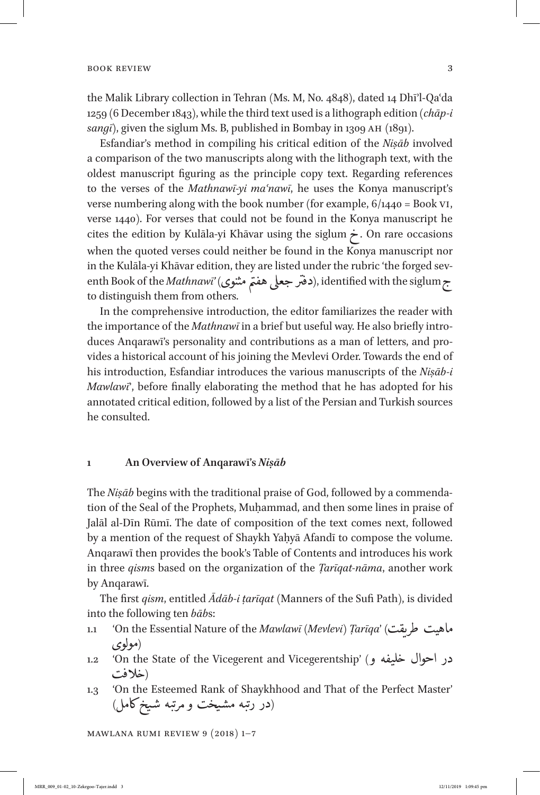## BOOK REVIEW 3

the Malik Library collection in Tehran (Ms. M, No. 4848), dated 14 Dhīʾl-Qaʿda 1259 (6 December 1843), while the third text used is a lithograph edition (*chāp-i sangī*), given the siglum Ms. B, published in Bombay in 1309 AH (1891).

Esfandiar's method in compiling his critical edition of the *Niṣāb* involved a comparison of the two manuscripts along with the lithograph text, with the oldest manuscript figuring as the principle copy text. Regarding references to the verses of the *Mathnawī-yi maʿnawī*, he uses the Konya manuscript's verse numbering along with the book number (for example, 6/1440 = Book VI, verse 1440). For verses that could not be found in the Konya manuscript he cites the edition by Kulāla-yi Khāvar using the siglum <sup>خ</sup> �. On rare occasions when the quoted verses could neither be found in the Konya manuscript nor in the Kulāla-yi Khāvar edition, they are listed under the rubric 'the forged seventh Book of the *Mathnawī'* (وسطری)<br>to distinguish them from others خ m the Kulala-yi Khavar eution, they are isted under the rubric the lorged severath Book of the *Mathnawi'* (دفتر جعلی هفتم مثنوی), identified with the siglum <del>ب</del>ع to distinguish them from others. خ

In the comprehensive introduction, the editor familiarizes the reader with the importance of the *Mathnawī* in a brief but useful way. He also briefly introduces Anqarawī's personality and contributions as a man of letters, and provides a historical account of his joining the Mevlevi Order. Towards the end of his introduction, Esfandiar introduces the various manuscripts of the *Niṣāb-i Mawlawi*<sup>2</sup>, before finally elaborating the method that he has adopted for his annotated critical edition, followed by a list of the Persian and Turkish sources he consulted.

## **1 An Overview of Anqarawī's** *Niṣāb*

The *Niṣāb* begins with the traditional praise of God, followed by a commendation of the Seal of the Prophets, Muḥammad, and then some lines in praise of Jalāl al-Dīn Rūmī. The date of composition of the text comes next, followed by a mention of the request of Shaykh Yaḥyā Afandī to compose the volume. Anqarawī then provides the book's Table of Contents and introduces his work in three *qism*s based on the organization of the *Ṭarīqat-nāma*, another work by Anqarawī.

The first *qism*, entitled *Ādāb-i ṭarīqat* (Manners of the Sufi Path), is divided into the following ten *bāb*s:

- 1.1 'On the Essential Nature of the *Mawlawī (Mevlevi) Ṭarīqa*' ( <sup>ت</sup> �� ت ���� ی � ماهیت طر<sub>ا</sub> (مولوی �
- در احوال خليفه و) 'Dn the State of the Vicegerent and Vicegerentship'<br>(خلافت خ (خلافت خ خ
- 1.3 'On the Esteemed Rank of Shaykhhood and That of the Perfect Master' در رتبه مشیخت و مرتبه شیخ کامل)<br>(در رتبه مشیخت و مرتبه شیخ کامل) خخ

Mawlana Rumi Review 9 (2018) 1–7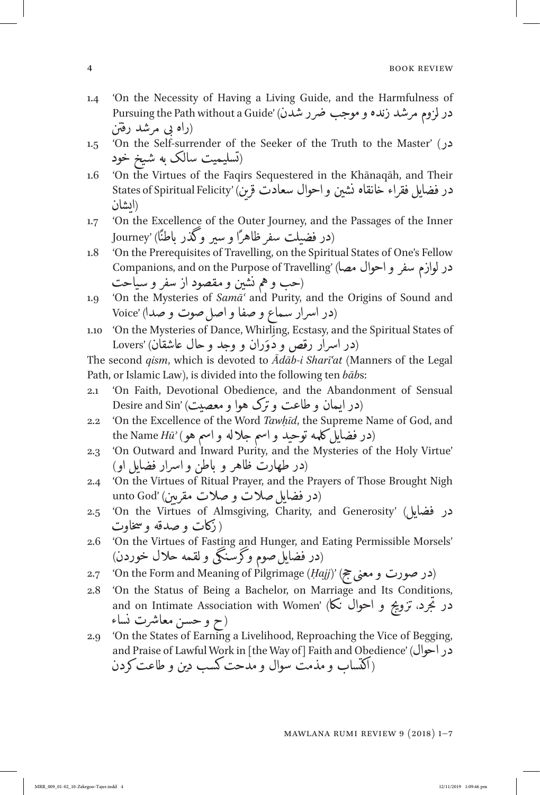- 'On the Necessity of Having a Living Guide, and the Harmfulness of  $1.4$ در لزوم مرشد زنده و موجب ضرر شدن) 'Pursuing the Path without a Guide (راه پی مرشد رفتن
- Con the Self-surrender of the Seeker of the Truth to the Master' ( در  $1.5^{\circ}$ (تسلیمیت سالک به شبخ خود
- 'On the Virtues of the Faqirs Sequestered in the Khānaqāh, and Their 1.6 در فضايل فقراء خانقاه نشين واحوال سعادت قرن) 'States of Spiritual Felicity (اىشان
- 'On the Excellence of the Outer Journey, and the Passages of the Inner  $1.7$ (در فضیلت سفر ظاهرًا و سیر وگذر باطنًا) 'Journey
- 'On the Prerequisites of Travelling, on the Spiritual States of One's Fellow  $1.8$ در لوازم سفر و احوال مصا) 'Companions, and on the Purpose of Travelling (حب و هم نشین و مقصود از سفر و سیاحت
- 'On the Mysteries of Sama' and Purity, and the Origins of Sound and  $1.9$ (در اسرار سماع و صفا و اصل صوت و صدا) 'Voice
- 'On the Mysteries of Dance, Whirling, Ecstasy, and the Spiritual States of  $1.10$ (در اسرار رقص و دوَران و وجد و حال عاشقان) 'Lovers

The second *gism*, which is devoted to  $\bar{A}d\bar{a}b-i$  Shari'at (Manners of the Legal Path, or Islamic Law), is divided into the following ten babs:

- $2.1$ 'On Faith, Devotional Obedience, and the Abandonment of Sensual (در ایمان و طاعت و ترک هوا و معصیت) Desire and Sin'
- 'On the Excellence of the Word Tawhid, the Supreme Name of God, and  $2.2$ (در فضایل کلمه توحید و اسم جلاله و اسم هو) <the Name Hu
- 'On Outward and Inward Purity, and the Mysteries of the Holy Virtue'  $2.3$ (در طهارت ظاهر و باطن و اسرار فضایل او)
- 'On the Virtues of Ritual Prayer, and the Prayers of Those Brought Nigh  $2.4$ (در فضایل صلات و صلات مقرمن) 'unto God
- On the Virtues of Almsgiving, Charity, and Generosity' (فضابل)  $2.5$ (زكات و صدقه و سخاوت
- 'On the Virtues of Fasting and Hunger, and Eating Permissible Morsels' 2.6 (در فضایلٌ صوم وگرسنگی و لقمه حلال خوردن)
- ادر صورت و معني جج) '(On the Form and Meaning of Pilgrimage (بدر صورت و معني جج)  $2.7$
- 'On the Status of Being a Bachelor, on Marriage and Its Conditions,  $2.8$ در تجرد، تزویج و احوال نکا) 'and on Intimate Association with Women (ح و حسن معاشرت نساء
- 'On the States of Earning a Livelihood, Reproaching the Vice of Begging,  $2.9$ and Praise of Lawful Work in [the Way of] Faith and Obedience' (حوال) (اَکتساب و مذمت سُوال و مُدحت کسب دین و طاعت کردن

MAWLANA RUMI REVIEW 9  $(2018)$  1-7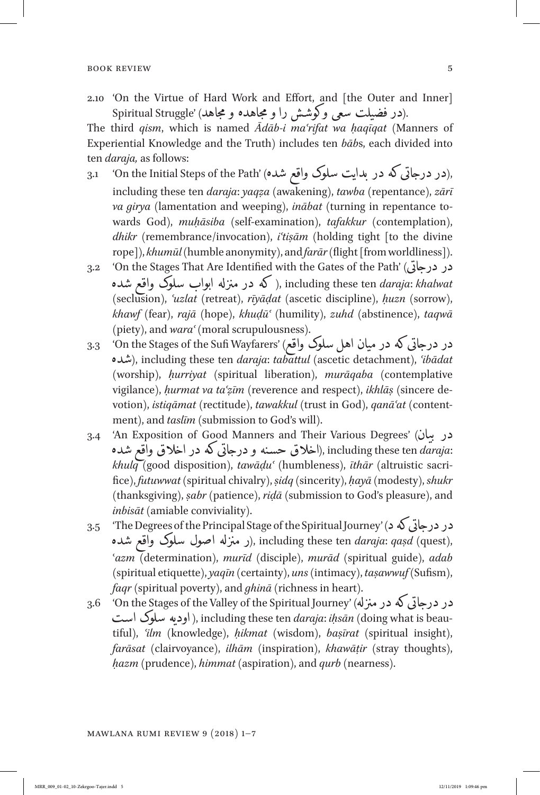**BOOK REVIEW** 

'On the Virtue of Hard Work and Effort, and [the Outer and Inner] 2.10 در فضبلت سعی وگوشش را و مجاهده و مجاهد) 'Spiritual Struggle

The third qism, which is named Adab-i ma'rifat wa haqiqat (Manners of Experiential Knowledge and the Truth) includes ten babs, each divided into ten *daraja*, as follows:

- ن در جاتی که در بدایت سلوک واقع شده) 'On the Initial Steps of the Path'  $3.1$ including these ten *daraja*: yaqza (awakening), tawba (repentance), zārī va girya (lamentation and weeping), inābat (turning in repentance towards God), muhāsiba (self-examination), tafakkur (contemplation), *dhikr* (remembrance/invocation), *i'tisām* (holding tight [to the divine rope]), khumūl (humble anonymity), and farār (flight [from worldliness]).
- در درجاتي) 'On the Stages That Are Identified with the Gates of the Path'  $3.2$ ), including these ten *daraja: khalwat* (که در منزله ابواب سلوک واقع شده (seclusion), 'uzlat (retreat), rīyādat (ascetic discipline), huzn (sorrow), khawf (fear), rajā (hope), khudū' (humility), zuhd (abstinence), taqwā (piety), and wara' (moral scrupulousness).
- در درجاتی که در میان اهل سلوک واقع) 'On the Stages of the Sufi Wayfarers'  $3-3$ شده), including these ten *daraja: tabattul* (ascetic detachment), *'ibādat* (worship), hurriyat (spiritual liberation), murāqaba (contemplative vigilance), hurmat va ta'zīm (reverence and respect), ikhlās (sincere devotion), istiqāmat (rectitude), tawakkul (trust in God), qanā'at (contentment), and taslim (submission to God's will).
- در بيان) 'An Exposition of Good Manners and Their Various Degrees'  $3.4$ اخلاق واقع شده), including these ten daraja: اخلاق واقع شده), including these ten daraja: khulq (good disposition), tawādu' (humbleness), īthār (altruistic sacrifice), futuwwat (spiritual chivalry), sidq (sincerity), hayā (modesty), shukr (thanksgiving), sabr (patience), ridā (submission to God's pleasure), and inbisāt (amiable conviviality).
- در درجاتي كه د) 'The Degrees of the Principal Stage of the Spiritual Journey'  $3.5$ ر منزله اصول سلوك واقع شده), including these ten *daraja: qasd* (quest), 'azm (determination), murīd (disciple), murād (spiritual guide), adab (spiritual etiquette), yaqīn (certainty), uns (intimacy), taşawwuf (Sufism), faqr (spiritual poverty), and ghina (richness in heart).
- در درجاتی که در منزله) 'On the Stages of the Valley of the Spiritual Journey'  $3.6$ اودیه سلوک است), including these ten *daraja: iḥsān* (doing what is beautiful), 'ilm (knowledge), hikmat (wisdom), başīrat (spiritual insight), *farāsat* (clairvoyance), *ilhām* (inspiration), *khawāṭir* (stray thoughts), hazm (prudence), himmat (aspiration), and *qurb* (nearness).

MAWLANA RUMI REVIEW 9 (2018) 1-7

MRR\_009\_01-02\_10-Zekrgoo-Tajer.indd 5

12/11/2019 1:09:46 pm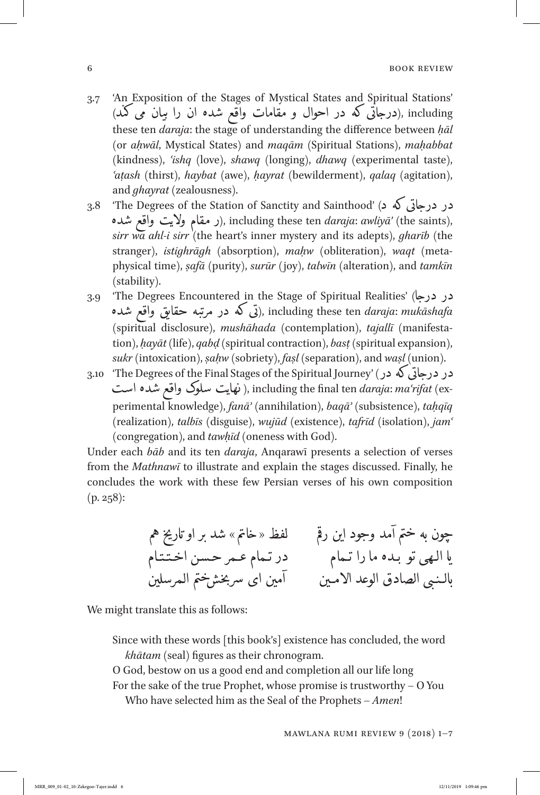- 'An Exposition of the Stages of Mystical States and Spiritual Stations'  $3 - 7$ (درجاتی که در احوال و مقامات واقع شده ان را بیان می گمد), including these ten *daraja*: the stage of understanding the difference between hal (or ahwāl, Mystical States) and maqām (Spiritual Stations), mahabbat (kindness), 'ishq (love), shawq (longing), dhawq (experimental taste), 'atash (thirst), haybat (awe), hayrat (bewilderment), galaq (agitation), and *ghayrat* (zealousness).
- در درجاتی که د) 'The Degrees of the Station of Sanctity and Sainthood'  $3.8$ ر مقام ولايت واقع شده), including these ten *daraja: awliyā'* (the saints), sirr wa ahl-i sirr (the heart's inner mystery and its adepts), *gharib* (the stranger), *istighrāgh* (absorption), *mahw* (obliteration), *wagt* (metaphysical time), safā (purity), surūr (joy), talwīn (alteration), and tamkīn (stability).
- "The Degrees Encountered in the Stage of Spiritual Realities' (حور درجا  $3.9$ تی که در مرتبه حقایق واقع شده), including these ten *daraja: mukāshafa* (spiritual disclosure), mushāhada (contemplation), tajallī (manifestation), hayāt (life), gabd (spiritual contraction), bast (spiritual expansion), sukr (intoxication), sahw (sobriety), fasl (separation), and wasl (union).
- در درجاتی که در) 'The Degrees of the Final Stages of the Spiritual Journey' 3.10 بايت سلوك واقع شده است), including the final ten *daraja: maʿrifat* (experimental knowledge), fanā' (annihilation), baqā' (subsistence), tahqīq (realization), talbīs (disguise), wujūd (existence), tafrīd (isolation), jam<sup>o</sup> (congregation), and tawhid (oneness with God).

Under each bab and its ten daraja, Angarawi presents a selection of verses from the Mathnawī to illustrate and explain the stages discussed. Finally, he concludes the work with these few Persian verses of his own composition  $(p. 258)$ :

We might translate this as follows:

Since with these words [this book's] existence has concluded, the word *khātam* (seal) figures as their chronogram.

O God, bestow on us a good end and completion all our life long For the sake of the true Prophet, whose promise is trustworthy  $-$  O You Who have selected him as the Seal of the Prophets - Amen!

MAWLANA RUMI REVIEW 9  $(2018)$  1-7